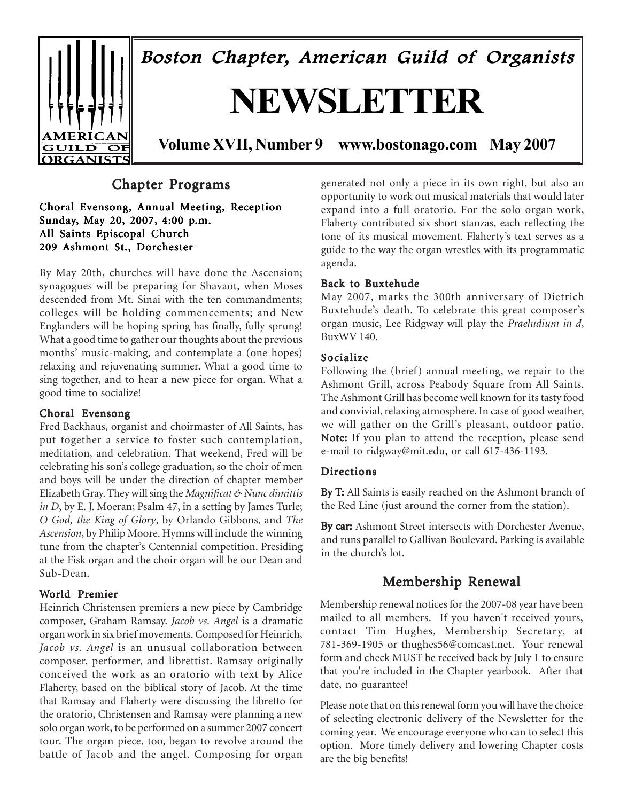

Boston Chapter, American Guild of Organists

# **NEWSLETTER**

**Volume XVII, Number 9 www.bostonago.com May 2007**

# Chapter Programs

Choral Evensong, Annual Meeting, Reception Sunday, May 20, 2007, 4:00 p.m. All Saints Episcopal Church 209 Ashmont St., Dorchester

By May 20th, churches will have done the Ascension; synagogues will be preparing for Shavaot, when Moses descended from Mt. Sinai with the ten commandments; colleges will be holding commencements; and New Englanders will be hoping spring has finally, fully sprung! What a good time to gather our thoughts about the previous months' music-making, and contemplate a (one hopes) relaxing and rejuvenating summer. What a good time to sing together, and to hear a new piece for organ. What a good time to socialize!

#### Choral Evensong

Fred Backhaus, organist and choirmaster of All Saints, has put together a service to foster such contemplation, meditation, and celebration. That weekend, Fred will be celebrating his son's college graduation, so the choir of men and boys will be under the direction of chapter member Elizabeth Gray. They will sing the *Magnificat & Nunc dimittis in D*, by E. J. Moeran; Psalm 47, in a setting by James Turle; *O God, the King of Glory*, by Orlando Gibbons, and *The Ascension*, by Philip Moore. Hymns will include the winning tune from the chapter's Centennial competition. Presiding at the Fisk organ and the choir organ will be our Dean and Sub-Dean.

#### World Premier

Heinrich Christensen premiers a new piece by Cambridge composer, Graham Ramsay. *Jacob vs. Angel* is a dramatic organ work in six brief movements. Composed for Heinrich, *Jacob vs. Angel* is an unusual collaboration between composer, performer, and librettist. Ramsay originally conceived the work as an oratorio with text by Alice Flaherty, based on the biblical story of Jacob. At the time that Ramsay and Flaherty were discussing the libretto for the oratorio, Christensen and Ramsay were planning a new solo organ work, to be performed on a summer 2007 concert tour. The organ piece, too, began to revolve around the battle of Jacob and the angel. Composing for organ

generated not only a piece in its own right, but also an opportunity to work out musical materials that would later expand into a full oratorio. For the solo organ work, Flaherty contributed six short stanzas, each reflecting the tone of its musical movement. Flaherty's text serves as a guide to the way the organ wrestles with its programmatic agenda.

#### Back to Buxtehude

May 2007, marks the 300th anniversary of Dietrich Buxtehude's death. To celebrate this great composer's organ music, Lee Ridgway will play the *Praeludium in d*, BuxWV 140.

#### Socialize

Following the (brief) annual meeting, we repair to the Ashmont Grill, across Peabody Square from All Saints. The Ashmont Grill has become well known for its tasty food and convivial, relaxing atmosphere. In case of good weather, we will gather on the Grill's pleasant, outdoor patio. Note: If you plan to attend the reception, please send e-mail to ridgway@mit.edu, or call 617-436-1193.

#### **Directions**

By T: All Saints is easily reached on the Ashmont branch of the Red Line (just around the corner from the station).

By car: Ashmont Street intersects with Dorchester Avenue, and runs parallel to Gallivan Boulevard. Parking is available in the church's lot.

# Membership Renewal

Membership renewal notices for the 2007-08 year have been mailed to all members. If you haven't received yours, contact Tim Hughes, Membership Secretary, at 781-369-1905 or thughes56@comcast.net. Your renewal form and check MUST be received back by July 1 to ensure that you're included in the Chapter yearbook. After that date, no guarantee!

Please note that on this renewal form you will have the choice of selecting electronic delivery of the Newsletter for the coming year. We encourage everyone who can to select this option. More timely delivery and lowering Chapter costs are the big benefits!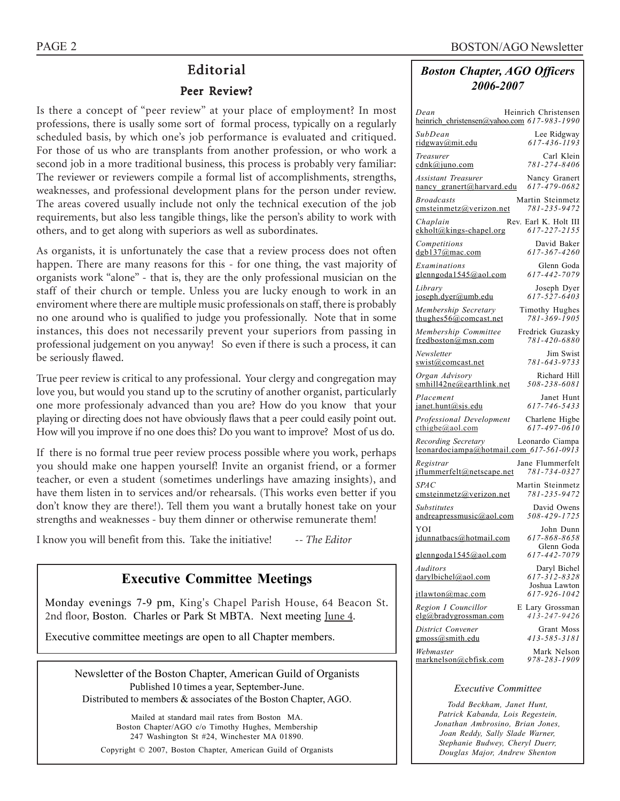# Editorial

#### Peer Review?

Is there a concept of "peer review" at your place of employment? In most professions, there is usally some sort of formal process, typically on a regularly scheduled basis, by which one's job performance is evaluated and critiqued. For those of us who are transplants from another profession, or who work a second job in a more traditional business, this process is probably very familiar: The reviewer or reviewers compile a formal list of accomplishments, strengths, weaknesses, and professional development plans for the person under review. The areas covered usually include not only the technical execution of the job requirements, but also less tangible things, like the person's ability to work with others, and to get along with superiors as well as subordinates.

As organists, it is unfortunately the case that a review process does not often happen. There are many reasons for this - for one thing, the vast majority of organists work "alone" - that is, they are the only professional musician on the staff of their church or temple. Unless you are lucky enough to work in an enviroment where there are multiple music professionals on staff, there is probably no one around who is qualified to judge you professionally. Note that in some instances, this does not necessarily prevent your superiors from passing in professional judgement on you anyway! So even if there is such a process, it can be seriously flawed.

True peer review is critical to any professional. Your clergy and congregation may love you, but would you stand up to the scrutiny of another organist, particularly one more professionaly advanced than you are? How do you know that your playing or directing does not have obviously flaws that a peer could easily point out. How will you improve if no one does this? Do you want to improve? Most of us do.

If there is no formal true peer review process possible where you work, perhaps you should make one happen yourself! Invite an organist friend, or a former teacher, or even a student (sometimes underlings have amazing insights), and have them listen in to services and/or rehearsals. (This works even better if you don't know they are there!). Tell them you want a brutally honest take on your strengths and weaknesses - buy them dinner or otherwise remunerate them!

I know you will benefit from this. Take the initiative! -*- The Editor*

# **Executive Committee Meetings**

Monday evenings 7-9 pm, King's Chapel Parish House, 64 Beacon St. 2nd floor, Boston. Charles or Park St MBTA. Next meeting June 4.

Executive committee meetings are open to all Chapter members.

Newsletter of the Boston Chapter, American Guild of Organists Published 10 times a year, September-June. Distributed to members & associates of the Boston Chapter, AGO.

Mailed at standard mail rates from Boston MA. Boston Chapter/AGO c/o Timothy Hughes, Membership 247 Washington St #24, Winchester MA 01890. Copyright © 2007, Boston Chapter, American Guild of Organists

### *Boston Chapter, AGO Officers 2006-2007*

| Heinrich Christensen<br>Dean<br>heinrich_christensen@yahoo.com 617-983-1990               |
|-------------------------------------------------------------------------------------------|
| SubDean<br>Lee Ridgway<br>617-436-1193<br>ridgway@mit.edu                                 |
| Carl Klein<br>Treasurer<br>781-274-8406<br><u>cdnk@juno.com</u>                           |
| <b>Assistant Treasurer</b><br>Nancy Granert<br>617-479-0682<br>nancy granert@harvard.edu  |
| <b>Broadcasts</b><br>Martin Steinmetz<br>781-235-9472<br>cmsteinmetz@verizon.net          |
| Chaplain<br>Rev. Earl K. Holt III<br>617-227-2155<br>ekholt@kings-chapel.org              |
| David Baker<br>Competitions<br>617-367-4260<br>$d$ gb137@mac.com                          |
| Examinations<br>Glenn Goda<br>glenngoda1545@aol.com<br>617-442-7079                       |
| Library<br>Joseph Dyer<br>617-527-6403<br>joseph.dyer@umb.edu                             |
| Membership Secretary<br>Timothy Hughes<br>781-369-1905<br>thughes $56$ @comcast.net       |
| Membership Committee<br>Fredrick Guzasky<br>781-420-6880<br>fredboston@msn.com            |
| Jim Swist<br>Newsletter<br>781-643-9733<br>swist@comcast.net                              |
| Organ Advisory<br>Richard Hill<br>smhill42ne@earthlink.net<br>508-238-6081                |
| Placement<br>Janet Hunt<br>617-746-5433<br>janet.hunt@sjs.edu                             |
| Professional Development<br>Charlene Higbe<br>$\text{cthigbe}(a)$ aol.com<br>617-497-0610 |
| Recording Secretary<br>Leonardo Ciampa<br>leonardociampa@hotmail.com_617-561-0913         |
| Registrar<br>Jane Flummerfelt<br>jflummerfelt@netscape.net<br>781-734-0327                |
| <b>SPAC</b><br>Martin Steinmetz<br>781-235-9472<br>cmsteinmetz@verizon.net                |
| <b>Substitutes</b><br>David Owens<br>508-429-1725<br>andreapressmusic@aol.com             |
| YOI<br>John Dunn<br>617-868-8658<br>jdunnatbacs@hotmail.com                               |
| Glenn Goda<br>glenngoda1545@aol.com<br>617-442-7079                                       |
| Auditors<br>Daryl Bichel<br>617-312-8328<br>darylbichel@aol.com<br>Joshua Lawton          |
| 617-926-1042<br><i>jtlawton@mac.com</i>                                                   |
| Region I Councillor<br>E Lary Grossman<br>413-247-9426<br>elg@bradygrossman.com           |
| District Convener<br>Grant Moss<br>$g$ moss@smith.edu<br>413-585-3181                     |
| Webmaster<br>Mark Nelson<br>978-283-1909<br>marknelson@cbfisk.com                         |

#### *Executive Committee*

*Todd Beckham, Janet Hunt, Patrick Kabanda, Lois Regestein, Jonathan Ambrosino, Brian Jones, Joan Reddy, Sally Slade Warner, Stephanie Budwey, Cheryl Duerr, Douglas Major, Andrew Shenton*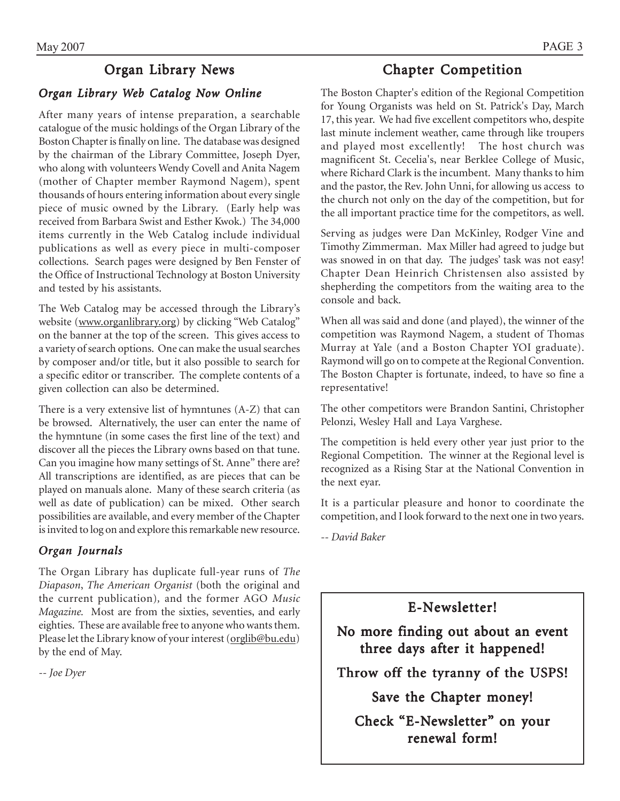# May 2007 PAGE 3

# Organ Library News

# *Organ Library Web Catalog Now Online*

After many years of intense preparation, a searchable catalogue of the music holdings of the Organ Library of the Boston Chapter is finally on line. The database was designed by the chairman of the Library Committee, Joseph Dyer, who along with volunteers Wendy Covell and Anita Nagem (mother of Chapter member Raymond Nagem), spent thousands of hours entering information about every single piece of music owned by the Library. (Early help was received from Barbara Swist and Esther Kwok.) The 34,000 items currently in the Web Catalog include individual publications as well as every piece in multi-composer collections. Search pages were designed by Ben Fenster of the Office of Instructional Technology at Boston University and tested by his assistants.

The Web Catalog may be accessed through the Library's website (www.organlibrary.org) by clicking "Web Catalog" on the banner at the top of the screen. This gives access to a variety of search options. One can make the usual searches by composer and/or title, but it also possible to search for a specific editor or transcriber. The complete contents of a given collection can also be determined.

There is a very extensive list of hymntunes (A-Z) that can be browsed. Alternatively, the user can enter the name of the hymntune (in some cases the first line of the text) and discover all the pieces the Library owns based on that tune. Can you imagine how many settings of St. Anne" there are? All transcriptions are identified, as are pieces that can be played on manuals alone. Many of these search criteria (as well as date of publication) can be mixed. Other search possibilities are available, and every member of the Chapter is invited to log on and explore this remarkable new resource.

# *Organ Journals Organ Journals*

The Organ Library has duplicate full-year runs of *The Diapason*, *The American Organist* (both the original and the current publication)*,* and the former AGO *Music Magazine.* Most are from the sixties, seventies, and early eighties. These are available free to anyone who wants them. Please let the Library know of your interest (orglib@bu.edu) by the end of May.

*-- Joe Dyer*

# Chapter Competition

The Boston Chapter's edition of the Regional Competition for Young Organists was held on St. Patrick's Day, March 17, this year. We had five excellent competitors who, despite last minute inclement weather, came through like troupers and played most excellently! The host church was magnificent St. Cecelia's, near Berklee College of Music, where Richard Clark is the incumbent. Many thanks to him and the pastor, the Rev. John Unni, for allowing us access to the church not only on the day of the competition, but for the all important practice time for the competitors, as well.

Serving as judges were Dan McKinley, Rodger Vine and Timothy Zimmerman. Max Miller had agreed to judge but was snowed in on that day. The judges' task was not easy! Chapter Dean Heinrich Christensen also assisted by shepherding the competitors from the waiting area to the console and back.

When all was said and done (and played), the winner of the competition was Raymond Nagem, a student of Thomas Murray at Yale (and a Boston Chapter YOI graduate). Raymond will go on to compete at the Regional Convention. The Boston Chapter is fortunate, indeed, to have so fine a representative!

The other competitors were Brandon Santini, Christopher Pelonzi, Wesley Hall and Laya Varghese.

The competition is held every other year just prior to the Regional Competition. The winner at the Regional level is recognized as a Rising Star at the National Convention in the next eyar.

It is a particular pleasure and honor to coordinate the competition, and I look forward to the next one in two years.

*-- David Baker*

E-Newsletter!

No more finding out about an event three days after it happened!

Throw off the tyranny of the USPS!

Save the Chapter money!

Check "E-Newsletter" on your renewal form!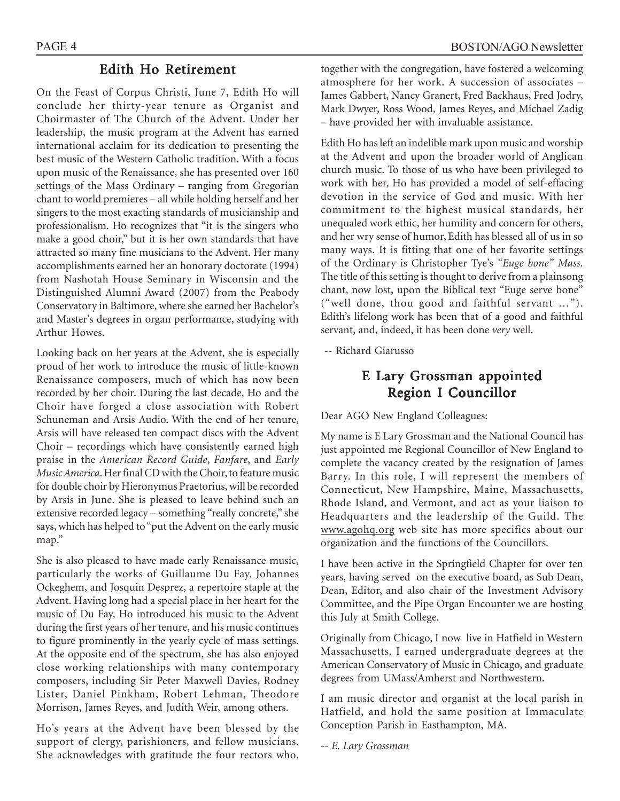# Edith Ho Retirement

On the Feast of Corpus Christi, June 7, Edith Ho will conclude her thirty-year tenure as Organist and Choirmaster of The Church of the Advent. Under her leadership, the music program at the Advent has earned international acclaim for its dedication to presenting the best music of the Western Catholic tradition. With a focus upon music of the Renaissance, she has presented over 160 settings of the Mass Ordinary - ranging from Gregorian chant to world premieres - all while holding herself and her singers to the most exacting standards of musicianship and professionalism. Ho recognizes that "it is the singers who make a good choir," but it is her own standards that have attracted so many fine musicians to the Advent. Her many accomplishments earned her an honorary doctorate (1994) from Nashotah House Seminary in Wisconsin and the Distinguished Alumni Award (2007) from the Peabody Conservatory in Baltimore, where she earned her Bachelor's and Master's degrees in organ performance, studying with Arthur Howes.

Looking back on her years at the Advent, she is especially proud of her work to introduce the music of little-known Renaissance composers, much of which has now been recorded by her choir. During the last decade, Ho and the Choir have forged a close association with Robert Schuneman and Arsis Audio. With the end of her tenure, Arsis will have released ten compact discs with the Advent Choir  $-$  recordings which have consistently earned high praise in the *American Record Guide*, *Fanfare*, and *Early Music America*. Her final CD with the Choir, to feature music for double choir by Hieronymus Praetorius, will be recorded by Arsis in June. She is pleased to leave behind such an extensive recorded legacy – something "really concrete," she says, which has helped to "put the Advent on the early music map."

She is also pleased to have made early Renaissance music, particularly the works of Guillaume Du Fay, Johannes Ockeghem, and Josquin Desprez, a repertoire staple at the Advent. Having long had a special place in her heart for the music of Du Fay, Ho introduced his music to the Advent during the first years of her tenure, and his music continues to figure prominently in the yearly cycle of mass settings. At the opposite end of the spectrum, she has also enjoyed close working relationships with many contemporary composers, including Sir Peter Maxwell Davies, Rodney Lister, Daniel Pinkham, Robert Lehman, Theodore Morrison, James Reyes, and Judith Weir, among others.

Hoís years at the Advent have been blessed by the support of clergy, parishioners, and fellow musicians. She acknowledges with gratitude the four rectors who,

together with the congregation, have fostered a welcoming atmosphere for her work. A succession of associates  $-$ James Gabbert, Nancy Granert, Fred Backhaus, Fred Jodry, Mark Dwyer, Ross Wood, James Reyes, and Michael Zadig – have provided her with invaluable assistance.

Edith Ho has left an indelible mark upon music and worship at the Advent and upon the broader world of Anglican church music. To those of us who have been privileged to work with her, Ho has provided a model of self-effacing devotion in the service of God and music. With her commitment to the highest musical standards, her unequaled work ethic, her humility and concern for others, and her wry sense of humor, Edith has blessed all of us in so many ways. It is fitting that one of her favorite settings of the Ordinary is Christopher Tye's "Euge bone" Mass. The title of this setting is thought to derive from a plainsong chant, now lost, upon the Biblical text "Euge serve bone" ("well done, thou good and faithful servant  $\ldots$ "). Edith's lifelong work has been that of a good and faithful servant, and, indeed, it has been done *very* well.

-- Richard Giarusso

# E Lary Grossman appointed Region I Councillor

Dear AGO New England Colleagues:

My name is E Lary Grossman and the National Council has just appointed me Regional Councillor of New England to complete the vacancy created by the resignation of James Barry. In this role, I will represent the members of Connecticut, New Hampshire, Maine, Massachusetts, Rhode Island, and Vermont, and act as your liaison to Headquarters and the leadership of the Guild. The www.agohq.org web site has more specifics about our organization and the functions of the Councillors.

I have been active in the Springfield Chapter for over ten years, having served on the executive board, as Sub Dean, Dean, Editor, and also chair of the Investment Advisory Committee, and the Pipe Organ Encounter we are hosting this July at Smith College.

Originally from Chicago, I now live in Hatfield in Western Massachusetts. I earned undergraduate degrees at the American Conservatory of Music in Chicago, and graduate degrees from UMass/Amherst and Northwestern.

I am music director and organist at the local parish in Hatfield, and hold the same position at Immaculate Conception Parish in Easthampton, MA.

*-- E. Lary Grossman*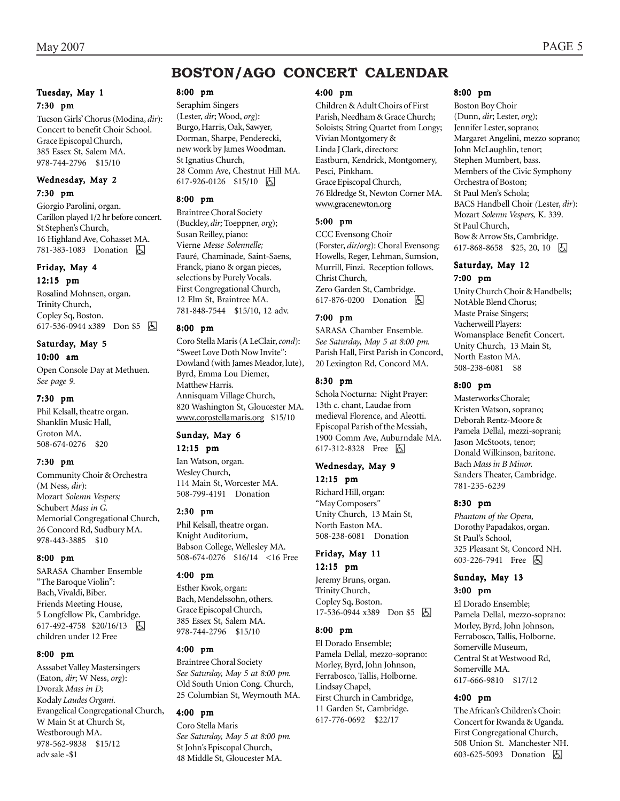# **BOSTON/AGO CONCERT CALENDAR**

#### Tuesday, May 1 7:30 pm

Tucson Girlsí Chorus (Modina, *dir*): Concert to benefit Choir School. Grace Episcopal Church, 385 Essex St, Salem MA. 978-744-2796 \$15/10

#### Wednesday, May 2 7:30 pm

Giorgio Parolini, organ. Carillon played 1/2 hr before concert. St Stephenís Church, 16 Highland Ave, Cohasset MA. 781-383-1083 Donation **b** 

#### Friday, May 4 12:15 pm

Rosalind Mohnsen, organ. Trinity Church, Copley Sq, Boston. 617-536-0944 x389 Don \$5 因

#### Saturday, May 5 10:00 am

Open Console Day at Methuen. *See page 9.*

#### 7:30 pm

Phil Kelsall, theatre organ. Shanklin Music Hall, Groton MA. 508-674-0276 \$20

#### 7:30 pm

Community Choir & Orchestra (M Ness, *dir*): Mozart *Solemn Vespers;* Schubert *Mass in G.* Memorial Congregational Church, 26 Concord Rd, Sudbury MA. 978-443-3885 \$10

#### 8:00 pm

SARASA Chamber Ensemble "The Baroque Violin": Bach, Vivaldi, Biber. Friends Meeting House, 5 Longfellow Pk, Cambridge. 617-492-4758 \$20/16/13 因 children under 12 Free

#### 8:00 pm

Asssabet Valley Mastersingers (Eaton, *dir*; W Ness, *org*): Dvorak *Mass in D;* Kodaly *Laudes Organi.* Evangelical Congregational Church, W Main St at Church St, Westborough MA. 978-562-9838 \$15/12 adv sale -\$1

#### 8:00 pm

Seraphim Singers (Lester, *dir*; Wood, *org*): Burgo, Harris, Oak, Sawyer, Dorman, Sharpe, Penderecki, new work by James Woodman. St Ignatius Church, 28 Comm Ave, Chestnut Hill MA. 617-926-0126 \$15/10 6

#### 8:00 pm

Braintree Choral Society (Buckley, *dir;* Toeppner*, org*); Susan Reilley, piano: Vierne *Messe Solennelle;* Fauré, Chaminade, Saint-Saens, Franck, piano & organ pieces, selections by Purely Vocals. First Congregational Church, 12 Elm St, Braintree MA. 781-848-7544 \$15/10, 12 adv.

#### 8:00 pm

Coro Stella Maris (A LeClair, *cond*): "Sweet Love Doth Now Invite": Dowland (with James Meador, lute), Byrd, Emma Lou Diemer, Matthew Harris. Annisquam Village Church, 820 Washington St, Gloucester MA. www.corostellamaris.org \$15/10

#### Sunday, May 6

12:15 pm Ian Watson, organ. Wesley Church, 114 Main St, Worcester MA. 508-799-4191 Donation

#### 2:30 pm

Phil Kelsall, theatre organ. Knight Auditorium, Babson College, Wellesley MA. 508-674-0276 \$16/14 <16 Free

#### 4:00 pm

Esther Kwok, organ: Bach, Mendelssohn, others. Grace Episcopal Church, 385 Essex St, Salem MA. 978-744-2796 \$15/10

#### 4:00 pm

Braintree Choral Society *See Saturday, May 5 at 8:00 pm.* Old South Union Cong. Church, 25 Columbian St, Weymouth MA.

#### 4:00 pm

Coro Stella Maris *See Saturday, May 5 at 8:00 pm.* St Johnís Episcopal Church, 48 Middle St, Gloucester MA.

#### 4:00 pm

Children & Adult Choirs of First Parish, Needham & Grace Church; Soloists; String Quartet from Longy; Vivian Montgomery & Linda J Clark, directors: Eastburn, Kendrick, Montgomery, Pesci, Pinkham. Grace Episcopal Church, 76 Eldredge St, Newton Corner MA. www.gracenewton.org

#### 5:00 pm

CCC Evensong Choir (Forster, *dir/org*): Choral Evensong: Howells, Reger, Lehman, Sumsion, Murrill, Finzi. Reception follows. Christ Church, Zero Garden St, Cambridge. 617-876-0200 Donation  $\Box$ 

#### 7:00 pm

SARASA Chamber Ensemble. *See Saturday, May 5 at 8:00 pm.* Parish Hall, First Parish in Concord, 20 Lexington Rd, Concord MA.

#### 8:30 pm

Schola Nocturna: Night Prayer: 13th c. chant, Laudae from medieval Florence, and Aleotti. Episcopal Parish of the Messiah, 1900 Comm Ave, Auburndale MA. 617-312-8328 Free 因

#### Wednesday, May 9 12:15 pm

Richard Hill, organ: "May Composers" Unity Church, 13 Main St, North Easton MA. 508-238-6081 Donation

#### Friday, May 11 12:15 pm

Jeremy Bruns, organ. Trinity Church, Copley Sq, Boston. 17-536-0944 x389 Don \$5  $\Box$ 

#### 8:00 pm

El Dorado Ensemble; Pamela Dellal, mezzo-soprano: Morley, Byrd, John Johnson, Ferrabosco, Tallis, Holborne. Lindsay Chapel, First Church in Cambridge, 11 Garden St, Cambridge. 617-776-0692 \$22/17

#### 8:00 pm

Boston Boy Choir (Dunn, *dir*; Lester, *org*); Jennifer Lester, soprano; Margaret Angelini, mezzo soprano; John McLaughlin, tenor; Stephen Mumbert, bass. Members of the Civic Symphony Orchestra of Boston; St Paul Menís Schola; BACS Handbell Choir *(*Lester, *dir*): Mozart *Solemn Vespers,* K. 339. St Paul Church, Bow & Arrow Sts, Cambridge.  $617-868-8658$  \$25, 20, 10 h

#### Saturday, May 12 7:00 pm

Unity Church Choir & Handbells; NotAble Blend Chorus; Maste Praise Singers; Vacherweill Players: Womansplace Benefit Concert. Unity Church, 13 Main St, North Easton MA. 508-238-6081 \$8

#### 8:00 pm

Masterworks Chorale; Kristen Watson, soprano; Deborah Rentz-Moore & Pamela Dellal, mezzi-soprani; Jason McStoots, tenor; Donald Wilkinson, baritone. Bach *Mass in B Minor.* Sanders Theater, Cambridge. 781-235-6239

#### 8:30 pm

*Phantom of the Opera,* Dorothy Papadakos, organ. St Paul's School, 325 Pleasant St, Concord NH. 603-226-7941 Free 因

#### Sunday, May 13 3:00 pm

El Dorado Ensemble; Pamela Dellal, mezzo-soprano: Morley, Byrd, John Johnson, Ferrabosco, Tallis, Holborne. Somerville Museum, Central St at Westwood Rd, Somerville MA. 617-666-9810 \$17/12

#### 4:00 pm

The African's Children's Choir: Concert for Rwanda & Uganda. First Congregational Church, 508 Union St. Manchester NH. 603-625-5093 Donation  $\boxed{6}$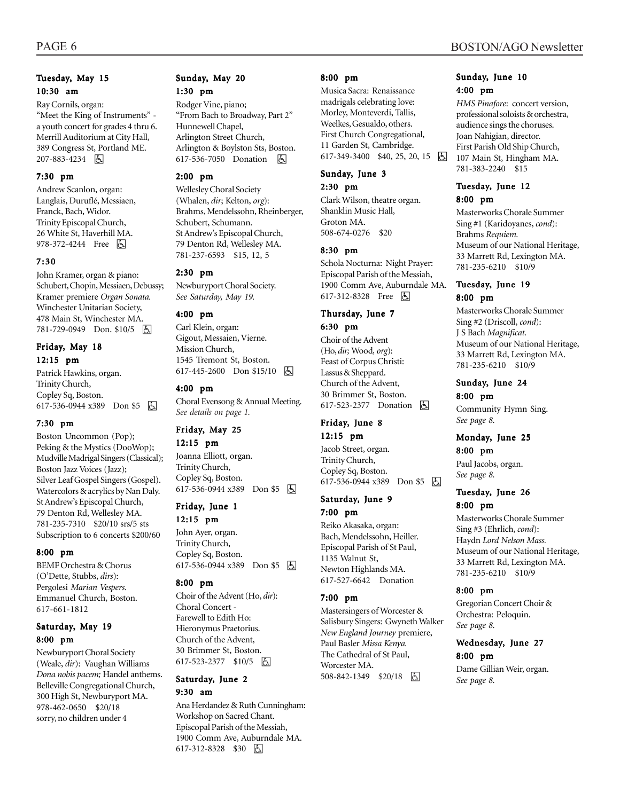#### Tuesday, May 15 10:30 am

Ray Cornils, organ: "Meet the King of Instruments" a youth concert for grades 4 thru 6. Merrill Auditorium at City Hall, 389 Congress St, Portland ME. 207-883-4234 |

#### 7:30 pm

Andrew Scanlon, organ: Langlais, Duruflé, Messiaen, Franck, Bach, Widor. Trinity Episcopal Church, 26 White St, Haverhill MA. 978-372-4244 Free 因

#### 7:30

John Kramer, organ & piano: Schubert, Chopin, Messiaen, Debussy; Kramer premiere *Organ Sonata.* Winchester Unitarian Society, 478 Main St, Winchester MA. 781-729-0949 Don. \$10/5 因

#### Friday, May 18 12:15 pm

Patrick Hawkins, organ. Trinity Church, Copley Sq, Boston. 617-536-0944 x389 Don \$5 因

#### 7:30 pm

Boston Uncommon (Pop); Peking & the Mystics (DooWop); Mudville Madrigal Singers (Classical); Boston Jazz Voices (Jazz); Silver Leaf Gospel Singers (Gospel). Watercolors & acrylics by Nan Daly. St Andrew's Episcopal Church, 79 Denton Rd, Wellesley MA. 781-235-7310 \$20/10 srs/5 sts Subscription to 6 concerts \$200/60

#### 8:00 pm

BEMF Orchestra & Chorus (OíDette, Stubbs, *dirs*): Pergolesi *Marian Vespers.* Emmanuel Church, Boston. 617-661-1812

#### Saturday, May 19 8:00 pm

Newburyport Choral Society (Weale, *dir*): Vaughan Williams *Dona nobis pacem;* Handel anthems. Belleville Congregational Church, 300 High St, Newburyport MA. 978-462-0650 \$20/18 sorry, no children under 4

# Sunday, May 20

1:30 pm

Rodger Vine, piano; "From Bach to Broadway, Part 2" Hunnewell Chapel, Arlington Street Church, Arlington & Boylston Sts, Boston. 617-536-7050 Donation **囚** 

#### 2:00 pm

Wellesley Choral Society (Whalen, *dir*; Kelton, *org*): Brahms, Mendelssohn, Rheinberger, Schubert, Schumann. St Andrew's Episcopal Church, 79 Denton Rd, Wellesley MA. 781-237-6593 \$15, 12, 5

#### 2:30 pm

Newburyport Choral Society. *See Saturday, May 19.*

#### 4:00 pm

Carl Klein, organ: Gigout, Messaien, Vierne. Mission Church, 1545 Tremont St, Boston. 617-445-2600 Don \$15/10 | A

#### 4:00 pm

Choral Evensong & Annual Meeting. *See details on page 1.*

#### Friday, May 25

12:15 pm Joanna Elliott, organ.

Trinity Church, Copley Sq, Boston. 617-536-0944 x389 Don \$5 h

#### Friday, June 1

12:15 pm John Ayer, organ. Trinity Church, Copley Sq, Boston. 617-536-0944 x389 Don \$5 | A

#### 8:00 pm

Choir of the Advent (Ho, *dir*): Choral Concert - Farewell to Edith Ho: Hieronymus Praetorius. Church of the Advent, 30 Brimmer St, Boston. 617-523-2377 \$10/5 因

#### Saturday, June 2 9:30 am

Ana Herdandez & Ruth Cunningham: Workshop on Sacred Chant. Episcopal Parish of the Messiah, 1900 Comm Ave, Auburndale MA. 617-312-8328 \$30 6

#### 8:00 pm

Musica Sacra: Renaissance madrigals celebrating love: Morley, Monteverdi, Tallis, Weelkes, Gesualdo, others. First Church Congregational, 11 Garden St, Cambridge. 617-349-3400 \$40, 25, 20, 15  $\Box$ 

#### Sunday, June 3

2:30 pm

Clark Wilson, theatre organ. Shanklin Music Hall, Groton MA. 508-674-0276 \$20

#### 8:30 pm

Schola Nocturna: Night Prayer: Episcopal Parish of the Messiah, 1900 Comm Ave, Auburndale MA. 617-312-8328 Free 因

#### Thursday, June 7

6:30 pm

Choir of the Advent (Ho, *dir;* Wood*, org*): Feast of Corpus Christi: Lassus & Sheppard. Church of the Advent, 30 Brimmer St, Boston. 617-523-2377 Donation **A** 

#### Friday, June 8 12:15 pm

Jacob Street, organ. Trinity Church, Copley Sq, Boston. 617-536-0944 x389 Don \$5 因

#### Saturday, June 9 7:00 pm

Reiko Akasaka, organ: Bach, Mendelssohn, Heiller. Episcopal Parish of St Paul, 1135 Walnut St, Newton Highlands MA. 617-527-6642 Donation

#### 7:00 pm

Mastersingers of Worcester & Salisbury Singers: Gwyneth Walker *New England Journey* premiere, Paul Basler *Missa Kenya.* The Cathedral of St Paul, Worcester MA. 508-842-1349 \$20/18 6

#### Sunday, June 10 4:00 pm

*HMS Pinafore*: concert version, professional soloists & orchestra, audience sings the choruses. Joan Nahigian, director. First Parish Old Ship Church, 107 Main St, Hingham MA. 781-383-2240 \$15

#### Tuesday, June 12 8:00 pm

Masterworks Chorale Summer Sing #1 (Karidoyanes, *cond*): Brahms *Requiem.* Museum of our National Heritage, 33 Marrett Rd, Lexington MA. 781-235-6210 \$10/9

#### Tuesday, June 19 8:00 pm

Masterworks Chorale Summer Sing #2 (Driscoll, *cond*): J S Bach *Magnificat.* Museum of our National Heritage, 33 Marrett Rd, Lexington MA. 781-235-6210 \$10/9

#### Sunday, June 24

8:00 pm Community Hymn Sing. *See page 8.*

# Monday, June 25

8:00 pm Paul Jacobs, organ. *See page 8.*

#### Tuesday, June 26 8:00 pm

Masterworks Chorale Summer Sing #3 (Ehrlich, *cond*): Haydn *Lord Nelson Mass.* Museum of our National Heritage, 33 Marrett Rd, Lexington MA. 781-235-6210 \$10/9

#### 8:00 pm

Gregorian Concert Choir & Orchestra: Peloquin. *See page 8.*

#### Wednesday, June 27 8:00 pm

Dame Gillian Weir, organ. *See page 8.*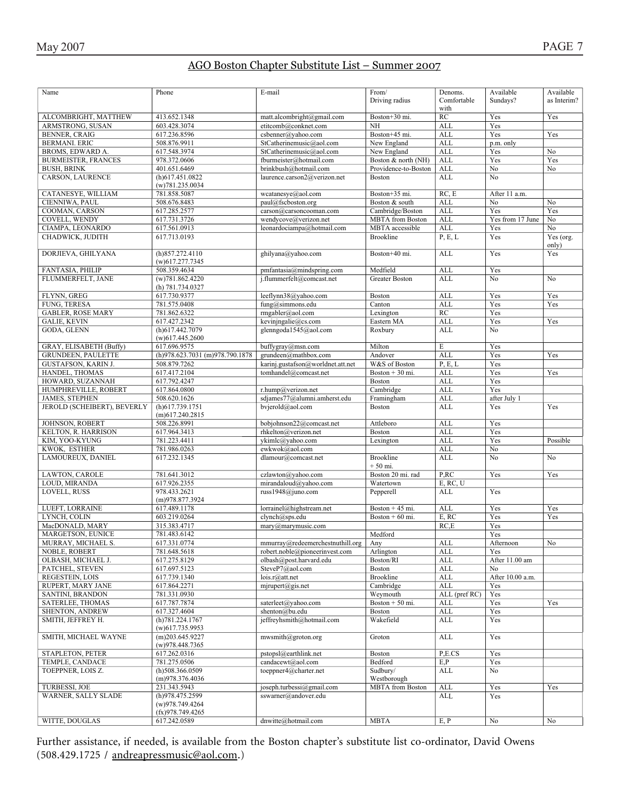### AGO Boston Chapter Substitute List – Summer 2007

| Name                        | Phone                           | E-mail                            | From/                   | Denoms.       | Available        | Available      |
|-----------------------------|---------------------------------|-----------------------------------|-------------------------|---------------|------------------|----------------|
|                             |                                 |                                   | Driving radius          | Comfortable   | Sundays?         | as Interim?    |
|                             |                                 |                                   |                         | with          |                  |                |
| ALCOMBRIGHT, MATTHEW        | 413.652.1348                    | matt.alcombright@gmail.com        | Boston+30 mi.           | RC            | Yes              | Yes            |
| ARMSTRONG, SUSAN            | 603.428.3074                    | etitcomb@conknet.com              | <b>NH</b>               | ALL           | Yes              |                |
| <b>BENNER, CRAIG</b>        | 617.236.8596                    | csbenner@yahoo.com                | Boston+45 mi.           | <b>ALL</b>    | Yes              | Yes            |
| <b>BERMANI, ERIC</b>        | 508.876.9911                    | StCatherinemusic@aol.com          | New England             | <b>ALL</b>    | p.m. only        |                |
| BROMS, EDWARD A.            | 617.548.3974                    | StCatherinemusic@aol.com          | New England             | ALL           | Yes              | No             |
| <b>BURMEISTER, FRANCES</b>  | 978.372.0606                    | fburmeister@hotmail.com           | Boston & north (NH)     | ALL           | Yes              | Yes            |
| <b>BUSH, BRINK</b>          | 401.651.6469                    | brinkbush@hotmail.com             | Providence-to-Boston    | <b>ALL</b>    | No               | No             |
| CARSON, LAURENCE            | (h)617.451.0822                 | laurence.carson2@verizon.net      | <b>Boston</b>           | <b>ALL</b>    | No               |                |
|                             | (w)781.235.0034                 |                                   |                         |               |                  |                |
| CATANESYE, WILLIAM          | 781.858.5087                    | wcatanesye@aol.com                | Boston+35 mi.           | RC, E         | After 11 a.m.    |                |
| CIENNIWA, PAUL              | 508.676.8483                    | paul@fscboston.org                | Boston & south          | <b>ALL</b>    | No               | N <sub>0</sub> |
| COOMAN, CARSON              | 617.285.2577                    | carson@carsoncooman.com           | Cambridge/Boston        | <b>ALL</b>    | Yes              | Yes            |
| COVELL, WENDY               | 617.731.3726                    | wendycove@verizon.net             | <b>MBTA</b> from Boston | ALL           | Yes from 17 June | No             |
| CIAMPA, LEONARDO            | 617.561.0913                    | leonardociampa@hotmail.com        | MBTA accessible         | <b>ALL</b>    | Yes              | No             |
| CHADWICK, JUDITH            | 617.713.0193                    |                                   | <b>Brookline</b>        | P, E, L       | Yes              | Yes (org.      |
|                             |                                 |                                   |                         |               |                  | only)          |
| DORJIEVA, GHILYANA          | (h)857.272.4110                 | ghilyana@yahoo.com                | Boston+40 mi.           | <b>ALL</b>    | Yes              | Yes            |
|                             | $(w)$ 617.277.7345              |                                   |                         |               |                  |                |
| FANTASIA, PHILIP            | 508.359.4634                    | pmfantasia@mindspring.com         | Medfield                | <b>ALL</b>    | Yes              |                |
| FLUMMERFELT, JANE           | (w)781.862.4220                 | j.flummerfelt@comcast.net         | Greater Boston          | <b>ALL</b>    | No               | No             |
|                             | (h) 781.734.0327                |                                   |                         |               |                  |                |
| FLYNN, GREG                 | 617.730.9377                    | leeflynn38@yahoo.com              |                         | <b>ALL</b>    |                  | Yes            |
|                             |                                 |                                   | Boston                  |               | Yes              |                |
| FUNG, TERESA                | 781.575.0408                    | fung@simmons.edu                  | Canton                  | <b>ALL</b>    | Yes              | Yes            |
| <b>GABLER, ROSE MARY</b>    | 781.862.6322                    | rmgabler@aol.com                  | Lexington               | RC            | Yes              |                |
| <b>GALIE, KEVIN</b>         | 617.427.2342                    | kevinjngalie@cs.com               | Eastern MA              | ALL           | Yes              | Yes            |
| GODA, GLENN                 | (h)617.442.7079                 | glenngoda1545@aol.com             | Roxbury                 | ALL           | N <sub>0</sub>   |                |
|                             | $(w)$ 617.445.2600              |                                   |                         |               |                  |                |
| GRAY, ELISABETH (Buffy)     | 617.696.9575                    | buffygray@msn.com                 | Milton                  | $\mathbf E$   | Yes              |                |
| <b>GRUNDEEN, PAULETTE</b>   | (h)978.623.7031 (m)978.790.1878 | grundeen@mathbox.com              | Andover                 | <b>ALL</b>    | Yes              | Yes            |
| GUSTAFSON, KARIN J.         | 508.879.7262                    | karinj.gustafson@worldnet.att.net | W&S of Boston           | P, E, L       | Yes              |                |
| HANDEL, THOMAS              | 617.417.2104                    | tomhandel@comcast.net             | Boston + 30 mi.         | <b>ALL</b>    | Yes              | Yes            |
| HOWARD, SUZANNAH            | 617.792.4247                    |                                   | Boston                  | <b>ALL</b>    | Yes              |                |
| HUMPHREVILLE, ROBERT        | 617.864.0800                    | r.hump@verizon.net                | Cambridge               | <b>ALL</b>    | Yes              |                |
| <b>JAMES, STEPHEN</b>       | 508.620.1626                    | sdjames77@alumni.amherst.edu      | Framingham              | ALL           | after July 1     |                |
| JEROLD (SCHEIBERT), BEVERLY | (h)617.739.1751                 | bvjerold@aol.com                  | Boston                  | <b>ALL</b>    | Yes              | Yes            |
|                             | $(m)$ 617.240.2815              |                                   |                         |               |                  |                |
| JOHNSON, ROBERT             | 508.226.8991                    | bobjohnson22@comcast.net          | Attleboro               | <b>ALL</b>    | Yes              |                |
| KELTON, R. HARRISON         | 617.964.3413                    | rhkelton@verizon.net              | Boston                  | <b>ALL</b>    | Yes              |                |
| KIM, YOO-KYUNG              | 781.223.4411                    | ykimlc@yahoo.com                  | Lexington               | <b>ALL</b>    | Yes              | Possible       |
| KWOK, ESTHER                | 781.986.0263                    | ewkwok@aol.com                    |                         | <b>ALL</b>    | No               |                |
| LAMOUREUX, DANIEL           | 617.232.1345                    | dlamour@comcast.net               | <b>Brookline</b>        | <b>ALL</b>    | No               | No             |
|                             |                                 |                                   | $+50$ mi.               |               |                  |                |
| LAWTON, CAROLE              | 781.641.3012                    | czlawton@yahoo.com                | Boston 20 mi. rad       | P,RC          | Yes              | Yes            |
| LOUD, MIRANDA               | 617.926.2355                    | mirandaloud@yahoo.com             | Watertown               | E, RC, U      |                  |                |
| LOVELL, RUSS                | 978.433.2621                    | russ1948@juno.com                 |                         | ALL           | Yes              |                |
|                             |                                 |                                   | Pepperell               |               |                  |                |
|                             | (m)978.877.3924                 |                                   |                         |               |                  |                |
| LUEFT, LORRAINE             | 617.489.1178                    | lorrainel@highstream.net          | Boston $+45$ mi.        | <b>ALL</b>    | Yes              | Yes            |
| LYNCH, COLIN                | 603.219.0264                    | clynch@sps.edu                    | Boston $+60$ mi.        | E, RC         | Yes              | Yes            |
| MacDONALD, MARY             | 315.383.4717                    | mary@marymusic.com                |                         | RC.E          | Yes              |                |
| MARGETSON, EUNICE           | 781.483.6142                    |                                   | Medford                 |               | Yes              |                |
| MURRAY, MICHAEL S.          | 617.331.0774                    | mmurray@redeemerchestnuthill.org  | Any                     | ALL           | Afternoon        | No             |
| NOBLE, ROBERT               | 781.648.5618                    | robert.noble@pioneerinvest.com    | Arlington               | ALL           | Yes              |                |
| OLBASH, MICHAEL J.          | 617.275.8129                    | olbash@post.harvard.edu           | Boston/RI               | <b>ALL</b>    | After 11.00 am   |                |
| PATCHEL, STEVEN             | 617.697.5123                    | SteveP7@aol.com                   | Boston                  | <b>ALL</b>    | No               |                |
| REGESTEIN, LOIS             | 617.739.1340                    | lois.r@att.net                    | <b>Brookline</b>        | <b>ALL</b>    | After 10.00 a.m. |                |
| RUPERT, MARY JANE           | 617.864.2271                    | $m$ jrupert@gis.net               | Cambridge               | ALL           | Yes              |                |
| SANTINI, BRANDON            | 781.331.0930                    |                                   | Weymouth                | ALL (pref RC) | Yes              |                |
| <b>SATERLEE, THOMAS</b>     | 617.787.7874                    | saterleet@yahoo.com               | Boston $+50$ mi.        | ALL           | Yes              | Yes            |
| SHENTON, ANDREW             | 617.327.4604                    | shenton@bu.edu                    | Boston                  | <b>ALL</b>    | Yes              |                |
| SMITH, JEFFREY H.           | (h)781.224.1767                 | jeffreyhsmith@hotmail.com         | Wakefield               | ALL           | Yes              |                |
|                             | $(w)$ 617.735.9953              |                                   |                         |               |                  |                |
| SMITH, MICHAEL WAYNE        | $(m)$ 203.645.9227              | mwsmith@groton.org                | Groton                  | <b>ALL</b>    | Yes              |                |
|                             | (w)978.448.7365                 |                                   |                         |               |                  |                |
| STAPLETON, PETER            | 617.262.0316                    | pstopsl@earthlink.net             | Boston                  | P,E.CS        | Yes              |                |
| TEMPLE, CANDACE             | 781.275.0506                    | candacewt@aol.com                 | Bedford                 | E, P          | Yes              |                |
| TOEPPNER, LOIS Z.           | $(h)$ 508.366.0509              | toeppner4@charter.net             | Sudbury/                | ALL           | No               |                |
|                             | (m)978.376.4036                 |                                   | Westborough             |               |                  |                |
| TURBESSI, JOE               | 231.343.5943                    | joseph.turbessi@gmail.com         | <b>MBTA</b> from Boston | ALL           | Yes              | Yes            |
| WARNER, SALLY SLADE         | (h)978.475.2599                 | sswarner@andover.edu              |                         | ALL           | Yes              |                |
|                             | (w)978.749.4264                 |                                   |                         |               |                  |                |
|                             | (fx)978.749.4265                |                                   |                         |               |                  |                |
| WITTE, DOUGLAS              | 617.242.0589                    | dnwitte@hotmail.com               | <b>MBTA</b>             | E, P          | No               | No             |
|                             |                                 |                                   |                         |               |                  |                |

Further assistance, if needed, is available from the Boston chapter's substitute list co-ordinator, David Owens (508.429.1725 / andreapressmusic@aol.com.)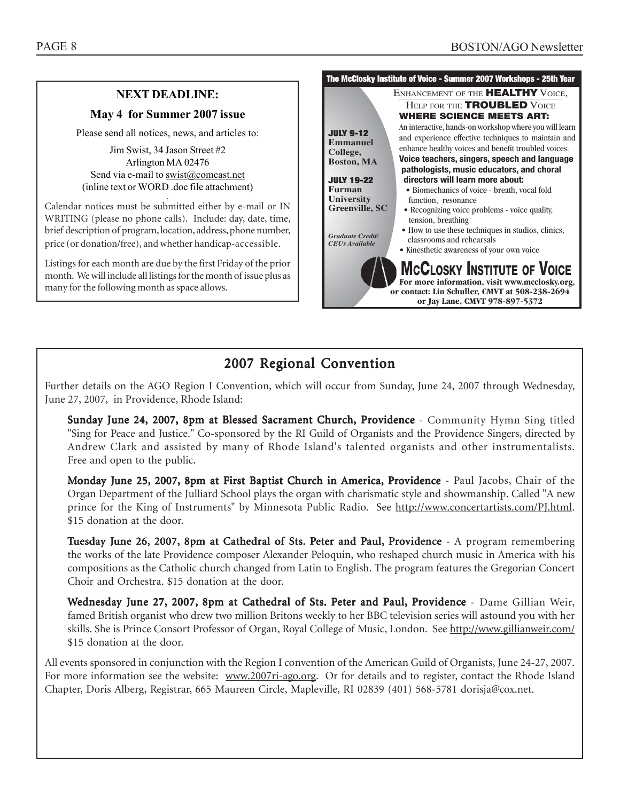or contact: Lin Schuller, CMVT at 508-238-2694 **or Iav Lane. CMVT 978-897-5372 or** J<sub>9</sub>*y* Lane, C<sub>1</sub><sup>2</sup>

#### **The McClosky Institute of Voice - Summer 2007 Workshops - 25th Year MCCLOSKY INSTITUTE OF VOICE**<br>For more information, visit www.mcclosky.org, ENHANCEMENT OF THE **HEALTHY** VOICE, HELP FOR THE **TROUBLED** VOICE **WHERE SCIENCE MEETS ART:** An interactive, hands-on workshop where you will learn and experience effective techniques to maintain and enhance healthy voices and benefit troubled voices. **Voice teachers, singers, speech and language pathologists, music educators, and choral directors will learn more about:** • Biomechanics of voice - breath, vocal fold function, resonance • Recognizing voice problems - voice quality, tension, breathing • How to use these techniques in studios, clinics, classrooms and rehearsals • Kinesthetic awareness of your own voice **JULY 9-12 College,** Boston. **Boston, MA JULY 19-22 University Greenville, SC Greenville, SC** *Graduate Credit/ CEUs Available* **NEXT DEADLINE: May 4 for Summer 2007 issue** Please send all notices, news, and articles to: Jim Swist, 34 Jason Street #2 Arlington MA 02476 Send via e-mail to swist@comcast.net (inline text or WORD .doc file attachment) . Calendar notices must be submitted either by e-mail or IN WRITING (please no phone calls). Include: day, date, time, brief description of program, location, address, phone number, price (or donation/free), and whether handicap-accessible. Listings for each month are due by the first Friday of the prior month. We will include all listings for the month of issue plus as

many for the following month as space allows.

# 2007 Regional Convention

Further details on the AGO Region I Convention, which will occur from Sunday, June 24, 2007 through Wednesday, June 27, 2007, in Providence, Rhode Island:

Sunday June 24, 2007, 8pm at Blessed Sacrament Church, Providence - Community Hymn Sing titled "Sing for Peace and Justice." Co-sponsored by the RI Guild of Organists and the Providence Singers, directed by Andrew Clark and assisted by many of Rhode Island's talented organists and other instrumentalists. Free and open to the public.

Monday June 25, 2007, 8pm at First Baptist Church in America, Providence - Paul Jacobs, Chair of the Organ Department of the Julliard School plays the organ with charismatic style and showmanship. Called "A new prince for the King of Instruments" by Minnesota Public Radio. See http://www.concertartists.com/PJ.html. \$15 donation at the door.

Tuesday June 26, 2007, 8pm at Cathedral of Sts. Peter and Paul, Providence - A program remembering the works of the late Providence composer Alexander Peloquin, who reshaped church music in America with his compositions as the Catholic church changed from Latin to English. The program features the Gregorian Concert Choir and Orchestra. \$15 donation at the door.

Wednesday June 27, 2007, 8pm at Cathedral of Sts. Peter and Paul, Providence - Dame Gillian Weir, famed British organist who drew two million Britons weekly to her BBC television series will astound you with her skills. She is Prince Consort Professor of Organ, Royal College of Music, London. See http://www.gillianweir.com/ \$15 donation at the door.

All events sponsored in conjunction with the Region I convention of the American Guild of Organists, June 24-27, 2007. For more information see the website: www.2007ri-ago.org. Or for details and to register, contact the Rhode Island Chapter, Doris Alberg, Registrar, 665 Maureen Circle, Mapleville, RI 02839 (401) 568-5781 dorisja@cox.net.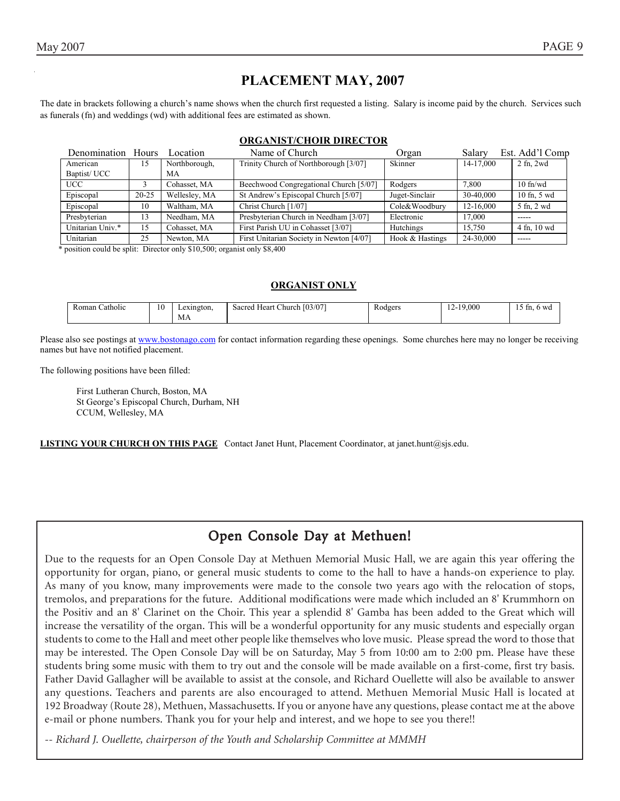# **PLACEMENT MAY, 2007**

The date in brackets following a church's name shows when the church first requested a listing. Salary is income paid by the church. Services such as funerals (fn) and weddings (wd) with additional fees are estimated as shown.

#### **ORGANIST/CHOIR DIRECTOR**

| Denomination Hours Location |           |               | Name of Church                           | Organ           | Salary    | Est. Add'l Comp |
|-----------------------------|-----------|---------------|------------------------------------------|-----------------|-----------|-----------------|
| American                    | 15        | Northborough, | Trinity Church of Northborough [3/07]    | Skinner         | 14-17.000 | $2$ fn, $2wd$   |
| Baptist/UCC                 |           | MA            |                                          |                 |           |                 |
| <b>UCC</b>                  |           | Cohasset, MA  | Beechwood Congregational Church [5/07]   | Rodgers         | 7.800     | $10$ fn/wd      |
| Episcopal                   | $20 - 25$ | Wellesley, MA | St Andrew's Episcopal Church [5/07]      | Juget-Sinclair  | 30-40.000 | $10$ fn, $5$ wd |
| Episcopal                   | 10        | Waltham, MA   | Christ Church [1/07]                     | Cole&Woodbury   | 12-16.000 | 5 fn, 2 wd      |
| Presbyterian                | 13        | Needham, MA   | Presbyterian Church in Needham [3/07]    | Electronic      | 17,000    | -----           |
| Unitarian Univ.*            | 15        | Cohasset, MA  | First Parish UU in Cohasset [3/07]       | Hutchings       | 15.750    | 4 fn. 10 wd     |
| Unitarian                   | 25        | Newton, MA    | First Unitarian Society in Newton [4/07] | Hook & Hastings | 24-30,000 | -----           |

\* position could be split: Director only \$10,500; organist only \$8,400

#### **ORGANIST ONLY**

| $\cdots$<br>10<br>Catholic<br>Roman<br>МA | Sacred Heart Church [03/07]<br>Lexington. | $\sim$<br>Rodgers | 12-19.000 | . .<br>tn. 6 wa |
|-------------------------------------------|-------------------------------------------|-------------------|-----------|-----------------|
|-------------------------------------------|-------------------------------------------|-------------------|-----------|-----------------|

Please also see postings at www.bostonago.com for contact information regarding these openings. Some churches here may no longer be receiving names but have not notified placement.

The following positions have been filled:

 First Lutheran Church, Boston, MA St George's Episcopal Church, Durham, NH CCUM, Wellesley, MA

**LISTING YOUR CHURCH ON THIS PAGE** Contact Janet Hunt, Placement Coordinator, at janet.hunt@sjs.edu.

# Open Console Day at Methuen!

Due to the requests for an Open Console Day at Methuen Memorial Music Hall, we are again this year offering the opportunity for organ, piano, or general music students to come to the hall to have a hands-on experience to play. As many of you know, many improvements were made to the console two years ago with the relocation of stops, tremolos, and preparations for the future. Additional modifications were made which included an 8' Krummhorn on the Positiv and an 8' Clarinet on the Choir. This year a splendid 8' Gamba has been added to the Great which will increase the versatility of the organ. This will be a wonderful opportunity for any music students and especially organ students to come to the Hall and meet other people like themselves who love music. Please spread the word to those that may be interested. The Open Console Day will be on Saturday, May 5 from 10:00 am to 2:00 pm. Please have these students bring some music with them to try out and the console will be made available on a first-come, first try basis. Father David Gallagher will be available to assist at the console, and Richard Ouellette will also be available to answer any questions. Teachers and parents are also encouraged to attend. Methuen Memorial Music Hall is located at 192 Broadway (Route 28), Methuen, Massachusetts. If you or anyone have any questions, please contact me at the above e-mail or phone numbers. Thank you for your help and interest, and we hope to see you there!!

*-- Richard J. Ouellette, chairperson of the Youth and Scholarship Committee at MMMH*